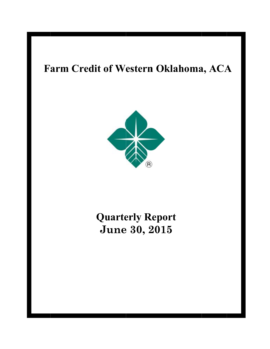# Farm Credit of Western Oklahoma, ACA



# **Quarterly Report** June 30, 2015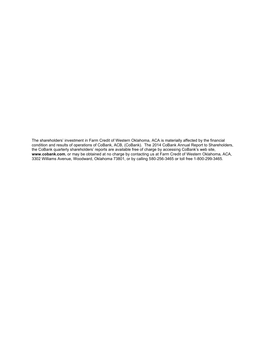The shareholders' investment in Farm Credit of Western Oklahoma, ACA is materially affected by the financial condition and results of operations of CoBank, ACB, (CoBank). The 2014 CoBank Annual Report to Shareholders, the CoBank quarterly shareholders' reports are available free of charge by accessing CoBank's web site,<br>www.cobank.com, or may be obtained at no charge by contacting us at Farm Credit of Western Oklahoma, ACA, 3302 Williams Avenue, Woodward, Oklahoma 73801, or by calling 580-256-3465 or toll free 1-800-299-3465.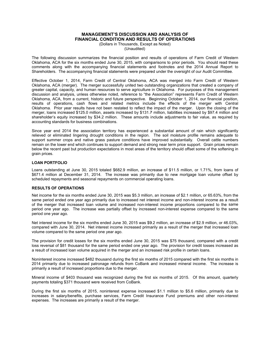### **MANAGEMENT'S DISCUSSION AND ANALYSIS OF FINANCIAL CONDITION AND RESULTS OF OPERATIONS**

(Dollars in Thousands, Except as Noted) (Unaudited)

The following discussion summarizes the financial position and results of operations of Farm Credit of Western Oklahoma, ACA for the six months ended June 30, 2015, with comparisons to prior periods. You should read these comments along with the accompanying financial statements and footnotes and the 2014 Annual Report to Shareholders. The accompanying financial statements were prepared under the oversight of our Audit Committee.

Effective October 1, 2014, Farm Credit of Central Oklahoma, ACA was merged into Farm Credit of Western Oklahoma, ACA (merger). The merger successfully united two outstanding organizations that created a company of greater capital, capacity, and human resources to serve agriculture in Oklahoma. For purposes of this management discussion and analysis, unless otherwise noted, reference to "the Association" represents Farm Credit of Western Oklahoma, ACA, from a current, historic and future perspective. Beginning October 1, 2014, our financial position, results of operations, cash flows and related metrics include the effects of the merger with Central Oklahoma. Prior year results have not been restated to reflect the impact of the merger. Upon the closing of the merger, loans increased \$125.0 million, assets increased by \$131.7 million, liabilities increased by \$97.4 million and shareholder's equity increased by \$34.2 million. These amounts include adjustments to fair value, as required by accounting standards for business combinations.

Since year end 2014 the association territory has experienced a substantial amount of rain which significantly relieved or eliminated lingering drought conditions in the region. The soil moisture profile remains adequate to support summer crops and native grass pasture conditions have improved substantially. Overall cattle numbers remain on the lower end which continues to support demand and strong near term price support. Grain prices remain below the recent past but production expectations in most areas of the territory should offset some of the softening in grain prices.

### **LOAN PORTFOLIO**

Loans outstanding at June 30, 2015 totaled \$682.9 million, an increase of \$11.5 million, or 1.71%, from loans of \$671.4 million at December 31, 2014. The increase was primarily due to new mortgage loan volume offset by scheduled repayments and seasonal repayments on commercial operating loans.

### **RESULTS OF OPERATIONS**

Net income for the six months ended June 30, 2015 was \$5.3 million, an increase of \$2.1 million, or 65.63%, from the same period ended one year ago primarily due to increased net interest income and non-interest income as a result of the merger that increased loan volume and increased non-interest income proportions compared to the same period one year ago. The increase was partially offset by increased non-interest expense compared to the same period one year ago.

Net interest income for the six months ended June 30, 2015 was \$9.2 million, an increase of \$2.9 million, or 46.03%, compared with June 30, 2014. Net interest income increased primarily as a result of the merger that increased loan volume compared to the same period one year ago.

The provision for credit losses for the six months ended June 30, 2015 was \$75 thousand, compared with a credit loss reversal of \$81 thousand for the same period ended one year ago. The provision for credit losses increased as a result of increased loan volume acquired in the merger and an increased risk profile in certain loans.

Noninterest income increased \$482 thousand during the first six months of 2015 compared with the first six months in 2014 primarily due to increased patronage refunds from CoBank and increased mineral income. The increase is primarily a result of increased proportions due to the merger.

Mineral income of \$403 thousand was recognized during the first six months of 2015. Of this amount, quarterly payments totaling \$371 thousand were received from CoBank.

During the first six months of 2015, noninterest expense increased \$1.1 million to \$5.6 million, primarily due to increases in salary/benefits, purchase services, Farm Credit Insurance Fund premiums and other non-interest expenses. The increases are primarily a result of the merger.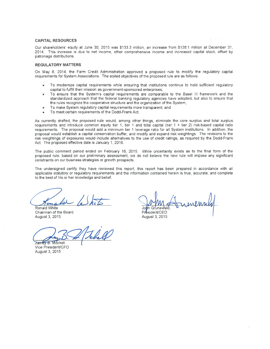### **CAPITAL RESOURCES**

Our shareholders' equity at June 30, 2015 was \$133.3 million, an increase from \$128.1 million at December 31, 2014. This increase is due to net income, other comprehensive income and increased capital stock, offset by patronage distributions.

#### **REGULATORY MATTERS**

On May 8, 2014, the Farm Credit Administration approved a proposed rule to modify the regulatory capital requirements for System Associations. The stated objectives of the proposed rule are as follows:

- To modernize capital requirements while ensuring that institutions continue to hold sufficient regulatory capital to fulfill their mission as government-sponsored enterprises;
- To ensure that the System's capital requirements are comparable to the Basel III framework and the standardized approach that the federal banking regulatory agencies have adopted, but also to ensure that the rules recognize the cooperative structure and the organization of the System;
- To make System regulatory capital requirements more transparent; and
- To meet certain requirements of the Dodd-Frank Act.

As currently drafted, the proposed rule would, among other things, eliminate the core surplus and total surplus requirements and introduce common equity tier 1, tier 1 and total capital (tier 1 + tier 2) risk-based capital ratio requirements. The proposal would add a minimum tier 1 leverage ratio for all System institutions. In addition, the proposal would establish a capital conservation buffer, and modify and expand risk weightings. The revisions to the risk weightings of exposures would include alternatives to the use of credit ratings, as required by the Dodd-Frank Act. The proposed effective date is January 1, 2016.

The public comment period ended on February 16, 2015. While uncertainty exists as to the final form of the proposed rule, based on our preliminary assessment, we do not believe the new rule will impose any significant constraints on our business strategies or growth prospects.

The undersigned certify they have reviewed this report, this report has been prepared in accordance with all applicable statutory or regulatory requirements and the information contained herein is true, accurate, and complete to the best of his or her knowledge and belief.

Ronald White Chairman of the Board August 3, 2015

Jamey B. Mitchell

Vice President/CFO August 3, 2015

 $\sqrt{2}$ n Grunewald President/CEO

August 3, 2015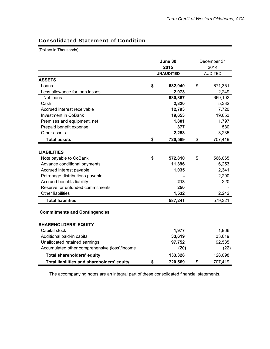## Consolidated Statement of Condition

(Dollars in Thousands)

|                                               | June 30<br>2015  | December 31<br>2014 |
|-----------------------------------------------|------------------|---------------------|
|                                               | <b>UNAUDITED</b> | <b>AUDITED</b>      |
| <b>ASSETS</b>                                 |                  |                     |
| Loans                                         | \$<br>682,940    | \$<br>671,351       |
| Less allowance for loan losses                | 2,073            | 2,249               |
| Net loans                                     | 680,867          | 669,102             |
| Cash                                          | 2,820            | 5,332               |
| Accrued interest receivable                   | 12,793           | 7,720               |
| <b>Investment in CoBank</b>                   | 19,653           | 19,653              |
| Premises and equipment, net                   | 1,801            | 1,797               |
| Prepaid benefit expense                       | 377              | 580                 |
| Other assets                                  | 2,258            | 3,235               |
| <b>Total assets</b>                           | \$<br>720,569    | \$<br>707,419       |
|                                               |                  |                     |
| <b>LIABILITIES</b>                            |                  |                     |
| Note payable to CoBank                        | \$<br>572,810    | \$<br>566,065       |
| Advance conditional payments                  | 11,396           | 6,253               |
| Accrued interest payable                      | 1,035            | 2,341               |
| Patronage distributions payable               |                  | 2,200               |
| Accrued benefits liability                    | 218              | 220                 |
| Reserve for unfunded commitments              | 250              |                     |
| <b>Other liabilities</b>                      | 1,532            | 2,242               |
| <b>Total liabilities</b>                      | 587,241          | 579,321             |
| <b>Commitments and Contingencies</b>          |                  |                     |
| <b>SHAREHOLDERS' EQUITY</b>                   |                  |                     |
| Capital stock                                 | 1,977            | 1,966               |
| Additional paid-in capital                    | 33,619           | 33,619              |
| Unallocated retained earnings                 | 97,752           | 92,535              |
| Accumulated other comprehensive (loss)/income | (20)             | (22)                |
| <b>Total shareholders' equity</b>             | 133,328          | 128,098             |
| Total liabilities and shareholders' equity    | \$<br>720,569    | \$<br>707,419       |

The accompanying notes are an integral part of these consolidated financial statements.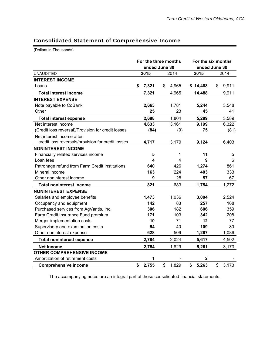### Consolidated Statement of Comprehensive Income

(Dollars in Thousands)

|                                                    |             | For the three months<br>ended June 30 | For the six months<br>ended June 30 |             |  |  |
|----------------------------------------------------|-------------|---------------------------------------|-------------------------------------|-------------|--|--|
| <b>UNAUDITED</b>                                   | 2015        | 2014                                  | 2015                                | 2014        |  |  |
| <b>INTEREST INCOME</b>                             |             |                                       |                                     |             |  |  |
| Loans                                              | 7,321<br>\$ | 4,965<br>\$                           | \$14,488                            | \$<br>9,911 |  |  |
| <b>Total interest income</b>                       | 7,321       | 4,965                                 | 14,488                              | 9,911       |  |  |
| <b>INTEREST EXPENSE</b>                            |             |                                       |                                     |             |  |  |
| Note payable to CoBank                             | 2,663       | 1,781                                 | 5,244                               | 3,548       |  |  |
| Other                                              | 25          | 23                                    | 45                                  | 41          |  |  |
| <b>Total interest expense</b>                      | 2,688       | 1,804                                 | 5,289                               | 3,589       |  |  |
| Net interest income                                | 4,633       | 3,161                                 | 9,199                               | 6,322       |  |  |
| (Credit loss reversal)/Provision for credit losses | (84)        | (9)                                   | 75                                  | (81)        |  |  |
| Net interest income after                          |             |                                       |                                     |             |  |  |
| credit loss reversals/provision for credit losses  | 4,717       | 3,170                                 | 9,124                               | 6,403       |  |  |
| <b>NONINTEREST INCOME</b>                          |             |                                       |                                     |             |  |  |
| Financially related services income                | 5           | $\mathbf{1}$                          | 11                                  | 5           |  |  |
| Loan fees                                          | 4           | 4                                     | 9                                   | 6           |  |  |
| Patronage refund from Farm Credit Institutions     | 640         | 426                                   | 1,274                               | 861         |  |  |
| Mineral income                                     | 163         | 224                                   | 403                                 | 333         |  |  |
| Other noninterest income                           | 9           | 28                                    | 57                                  | 67          |  |  |
| <b>Total noninterest income</b>                    | 821         | 683                                   | 1,754                               | 1,272       |  |  |
| <b>NONINTEREST EXPENSE</b>                         |             |                                       |                                     |             |  |  |
| Salaries and employee benefits                     | 1,473       | 1,036                                 | 3,004                               | 2,524       |  |  |
| Occupancy and equipment                            | 142         | 83                                    | 257                                 | 168         |  |  |
| Purchased services from AgVantis, Inc.             | 306         | 182                                   | 606                                 | 359         |  |  |
| Farm Credit Insurance Fund premium                 | 171         | 103                                   | 342                                 | 208         |  |  |
| Merger-implementation costs                        | 10          | 71                                    | 12                                  | 77          |  |  |
| Supervisory and examination costs                  | 54          | 40                                    | 109                                 | 80          |  |  |
| Other noninterest expense                          | 628         | 509                                   | 1,287                               | 1,086       |  |  |
| <b>Total noninterest expense</b>                   | 2,784       | 2,024                                 | 5,617                               | 4,502       |  |  |
| <b>Net income</b>                                  | 2,754       | 1,829                                 | 5,261                               | 3,173       |  |  |
| <b>OTHER COMPREHENSIVE INCOME</b>                  |             |                                       |                                     |             |  |  |
| Amortization of retirement costs                   | 1           |                                       | $\mathbf 2$                         |             |  |  |
| <b>Comprehensive income</b>                        | \$<br>2,755 | \$<br>1,829                           | \$<br>5,263                         | \$<br>3,173 |  |  |

The accompanying notes are an integral part of these consolidated financial statements.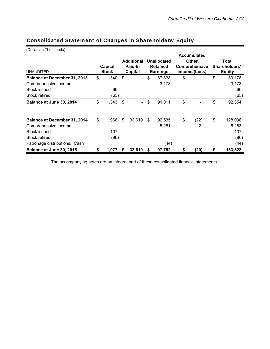| (Dollars in Thousands)        |              |    |                   |                 |                    |               |    |               |  |
|-------------------------------|--------------|----|-------------------|-----------------|--------------------|---------------|----|---------------|--|
|                               |              |    |                   |                 | <b>Accumulated</b> |               |    |               |  |
|                               |              |    | <b>Additional</b> | Unallocated     |                    | <b>Other</b>  |    | Total         |  |
|                               | Capital      |    | Paid-In           | <b>Retained</b> |                    | Comprehensive |    | Shareholders' |  |
| <b>UNAUDITED</b>              | <b>Stock</b> |    | Capital           | <b>Earnings</b> |                    | Income/(Loss) |    | <b>Equity</b> |  |
| Balance at December 31, 2013  | \$<br>1,340  | \$ |                   | \$<br>87,838    | \$                 |               | \$ | 89,178        |  |
| Comprehensive income          |              |    |                   | 3,173           |                    |               |    | 3,173         |  |
| Stock issued                  | 66           |    |                   |                 |                    |               |    | 66            |  |
| Stock retired                 | (63)         |    |                   |                 |                    |               |    | (63)          |  |
| Balance at June 30, 2014      | \$<br>1,343  | \$ |                   | \$<br>91,011    | \$                 |               | \$ | 92,354        |  |
|                               |              |    |                   |                 |                    |               |    |               |  |
| Balance at December 31, 2014  | \$<br>1,966  | \$ | 33,619            | \$<br>92,535    | \$                 | (22)          | \$ | 128,098       |  |
| Comprehensive income          |              |    |                   | 5,261           |                    | 2             |    | 5,263         |  |
| Stock issued                  | 107          |    |                   |                 |                    |               |    | 107           |  |
| Stock retired                 | (96)         |    |                   |                 |                    |               |    | (96)          |  |
| Patronage distributions: Cash |              |    |                   | (44)            |                    |               |    | (44)          |  |
| Balance at June 30, 2015      | \$<br>1,977  | S  | 33,619            | \$<br>97,752    | \$                 | (20)          | \$ | 133,328       |  |

## Consolidated Statement of Changes in Shareholders' Equity

The accompanying notes are an integral part of these consolidated financial statements.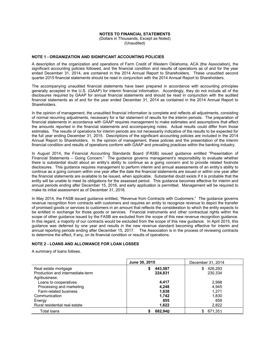### **NOTES TO FINANCIAL STATEMENTS**

(Dollars in Thousands, Except as Noted) (Unaudited)

### **NOTE 1 - ORGANIZATION AND SIGNIFICANT ACCOUNTING POLICIES**

A description of the organization and operations of Farm Credit of Western Oklahoma, ACA (the Association), the significant accounting policies followed, and the financial condition and results of operations as of and for the year ended December 31, 2014, are contained in the 2014 Annual Report to Shareholders. These unaudited second quarter 2015 financial statements should be read in conjunction with the 2014 Annual Report to Shareholders.

The accompanying unaudited financial statements have been prepared in accordance with accounting principles generally accepted in the U.S. (GAAP) for interim financial information. Accordingly, they do not include all of the disclosures required by GAAP for annual financial statements and should be read in conjunction with the audited financial statements as of and for the year ended December 31, 2014 as contained in the 2014 Annual Report to Shareholders.

In the opinion of management, the unaudited financial information is complete and reflects all adjustments, consisting of normal recurring adjustments, necessary for a fair statement of results for the interim periods. The preparation of financial statements in accordance with GAAP requires management to make estimates and assumptions that affect the amounts reported in the financial statements and accompanying notes. Actual results could differ from those estimates. The results of operations for interim periods are not necessarily indicative of the results to be expected for the full year ending December 31, 2015. Descriptions of the significant accounting policies are included in the 2014 Annual Report to Shareholders. In the opinion of management, these policies and the presentation of the interim financial condition and results of operations conform with GAAP and prevailing practices within the banking industry.

In August 2014, the Financial Accounting Standards Board (FASB) issued guidance entitled "Presentation of Financial Statements – Going Concern." The guidance governs management's responsibility to evaluate whether there is disclosures. This guidance requires management to perform interim and annual assessments of an entity's ability to continue as a going concern within one year after the date the financial statements are issued or within one year after the financial statements are available to be issued, when applicable. Substantial doubt exists if it is probable that the entity will be unable to meet its obligations for the assessed period. This quidance becomes effective for interim and annual periods ending after December 15, 2016, and early application is permitted. Management will be required to make its initial assessment as of December 31, 2016.

In May 2014, the FASB issued guidance entitled, "Revenue from Contracts with Customers." The guidance governs revenue recognition from contracts with customers and requires an entity to recognize revenue to depict the transfer of promised goods or services to customers in an amount that reflects the consideration to which the entity expects to be entitled in exchange for those goods or services. Financial instruments and other contractual rights within the scope of other quidance issued by the FASB are excluded from the scope of this new revenue recognition quidance. In this regard, a majority of our contracts would be excluded from the scope of this new quidance. In April 2015, this guidance was deferred by one year and results in the new revenue standard becoming effective for interim and annual reporting periods ending after December 15, 2017. The Association is in the process of reviewing contracts to determine the effect, if any, on its financial condition or results of operations.

### NOTE 2 - LOANS AND ALLOWANCE FOR LOAN LOSSES

A summary of loans follows.

|                                  | June 30, 2015 | December 31, 2014 |
|----------------------------------|---------------|-------------------|
| Real estate mortgage             | 443,587       | 426.293<br>S      |
| Production and intermediate-term | 224,831       | 230,334           |
| Agribusiness:                    |               |                   |
| Loans to cooperatives            | 4.417         | 2,998             |
| Processing and marketing         | 4,248         | 4,945             |
| Farm-related business            | 1,638         | 1,271             |
| Communication                    | 1.742         | 1,830             |
| Energy                           | 855           | 858               |
| Rural residential real estate    | 1,622         | 2,822             |
| Total Ioans                      | 682,940       | 671.351           |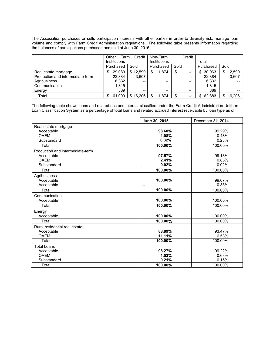The Association purchases or sells participation interests with other parties in order to diversify risk, manage loan volume and comply with Farm Credit Administration regulations. The following table presents information regarding the balances of participations purchased and sold at June 30, 2015:

|                                  | Other<br>Farm | Credit                                            | Non-Farm                                          | Credit |             |               |  |
|----------------------------------|---------------|---------------------------------------------------|---------------------------------------------------|--------|-------------|---------------|--|
|                                  | Institutions  |                                                   | Institutions                                      |        | Total       |               |  |
|                                  | Purchased     | Sold                                              | Purchased                                         | Sold   | Purchased   | Sold          |  |
| Real estate mortgage             | 29.089<br>S   | \$12,599                                          | 1.874<br>S                                        | --     | 30.963<br>S | 12,599<br>\$. |  |
| Production and intermediate-term | 22.884        | 3.607                                             | $\hspace{0.05cm}-\hspace{0.05cm}-\hspace{0.05cm}$ | --     | 22.884      | 3,607         |  |
| Agribusiness                     | 6,332         | $\hspace{0.05cm}-\hspace{0.05cm}-\hspace{0.05cm}$ | $- -$                                             | --     | 6,332       |               |  |
| Communication                    | 1.815         | --                                                | $- -$                                             | --     | 1.815       |               |  |
| Energy                           | 889           | $- -$                                             | $- -$                                             | $- -$  | 889         |               |  |
| Total                            | 61.009        | \$16,206                                          | 1,874<br>S                                        | --     | 62.883<br>S | 16.206        |  |

The following table shows loans and related accrued interest classified under the Farm Credit Administration Uniform Loan Classification System as a percentage of total loans and related accrued interest receivable by loan type as of:

|                                  | June 30, 2015 | December 31, 2014 |
|----------------------------------|---------------|-------------------|
| Real estate mortgage             |               |                   |
| Acceptable                       | 98.60%        | 99.29%            |
| <b>OAFM</b>                      | 1.08%         | 0.48%             |
| Substandard                      | 0.32%         | 0.23%             |
| Total                            | 100.00%       | 100.00%           |
| Production and intermediate-term |               |                   |
| Acceptable                       | 97.57%        | 99.13%            |
| <b>OAEM</b>                      | 2.41%         | 0.85%             |
| Substandard                      | 0.02%         | 0.02%             |
| Total                            | 100.00%       | 100.00%           |
| Agribusiness                     |               |                   |
| Acceptable                       | 100.00%       | 99.67%            |
| Acceptable                       | ۰.            | 0.33%             |
| Total                            | 100.00%       | 100.00%           |
| Communication                    |               |                   |
| Acceptable                       | 100.00%       | 100.00%           |
| Total                            | 100.00%       | 100.00%           |
| Energy                           |               |                   |
| Acceptable                       | 100.00%       | 100.00%           |
| Total                            | 100.00%       | 100.00%           |
| Rural residential real estate    |               |                   |
| Acceptable                       | 88.89%        | 93.47%            |
| <b>OAEM</b>                      | 11.11%        | 6.53%             |
| Total                            | 100.00%       | 100.00%           |
| <b>Total Loans</b>               |               |                   |
| Acceptable                       | 98.27%        | 99.22%            |
| <b>OAFM</b>                      | 1.52%         | 0.63%             |
| Substandard                      | 0.21%         | 0.15%             |
| Total                            | 100.00%       | 100.00%           |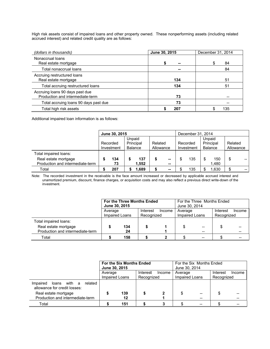High risk assets consist of impaired loans and other property owned. These nonperforming assets (including related accrued interest) and related credit quality are as follows:

| (dollars in thousands)                                              | June 30, 2015 | December 31, 2014 |
|---------------------------------------------------------------------|---------------|-------------------|
| Nonaccrual loans<br>Real estate mortgage                            | $\sim$        | 84<br>S           |
| Total nonaccrual loans                                              | --            | 84                |
| Accruing restructured loans<br>Real estate mortgage                 | 134           | 51                |
| Total accruing restructured loans                                   | 134           | 51                |
| Accruing loans 90 days past due<br>Production and intermediate-term | 73            |                   |
| Total accruing loans 90 days past due                               | 73            |                   |
| Total high risk assets                                              | 207           | 135               |

Additional impaired loan information is as follows:

|                                  |                                 | June 30, 2015 |                | December 31, 2014 |           |              |            |          |                      |       |           |       |
|----------------------------------|---------------------------------|---------------|----------------|-------------------|-----------|--------------|------------|----------|----------------------|-------|-----------|-------|
|                                  | Unpaid<br>Principal<br>Recorded |               |                |                   |           |              |            |          | Unpaid               |       |           |       |
|                                  |                                 |               |                |                   |           | Related      |            | Recorded | Principal<br>Balance |       | Related   |       |
|                                  |                                 | Investment    | <b>Balance</b> |                   | Allowance |              | Investment |          |                      |       | Allowance |       |
| Total impaired loans:            |                                 |               |                |                   |           |              |            |          |                      |       |           |       |
| Real estate mortgage             |                                 | 134           |                | 137               |           | --           |            | 135      |                      | 150   | \$        |       |
| Production and intermediate-term |                                 | 73            |                | 1.552             |           | $\mathbf{u}$ |            |          |                      | 1,480 |           |       |
| Total                            |                                 | 207           |                | .689              |           | --           |            | 135      |                      | .630  | \$        | $- -$ |

Note: The recorded investment in the receivable is the face amount increased or decreased by applicable accrued interest and unamortized premium, discount, finance charges, or acquisition costs and may also reflect a previous direct write-down of the investment.

|                                                          | June 30, 2015 | For the Three Months Ended |                        |        | For the Three Months Ended<br>June 30, 2014 |    |                        |        |  |
|----------------------------------------------------------|---------------|----------------------------|------------------------|--------|---------------------------------------------|----|------------------------|--------|--|
|                                                          | Average       | Impaired Loans             | Interest<br>Recognized | Income | Average<br>Impaired Loans                   |    | Interest<br>Recognized | Income |  |
| Total impaired loans:                                    |               |                            |                        |        |                                             |    |                        |        |  |
| Real estate mortgage<br>Production and intermediate-term |               | 134<br>24                  |                        |        |                                             | -- |                        |        |  |
| Total                                                    |               | 158                        |                        |        |                                             |    |                        |        |  |

|                                                                     | June 30, 2015  | <b>For the Six Months Ended</b> |            |        | For the Six Months Ended<br>June 30, 2014 |  |            |        |  |
|---------------------------------------------------------------------|----------------|---------------------------------|------------|--------|-------------------------------------------|--|------------|--------|--|
|                                                                     | Average        |                                 | Interest   | Income | Average                                   |  | Interest   | Income |  |
|                                                                     | Impaired Loans |                                 | Recognized |        | Impaired Loans                            |  | Recognized |        |  |
| related<br>Impaired<br>loans with a<br>allowance for credit losses: |                |                                 |            |        |                                           |  |            |        |  |
| Real estate mortgage                                                |                | 139                             |            |        |                                           |  |            |        |  |
| Production and intermediate-term                                    |                | 12                              |            |        |                                           |  |            |        |  |
| Total                                                               |                | 151                             |            |        |                                           |  |            |        |  |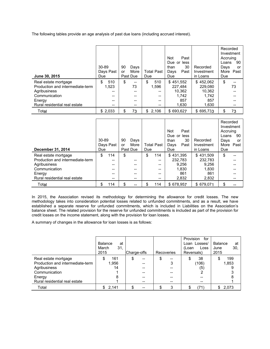The following tables provide an age analysis of past due loans (including accrued interest).

| June 30, 2015                                                                                                                        | 30-89<br>Days Past<br>Due               | 90<br>Days<br>More<br>or<br>Past Due | <b>Total Past</b><br>Due                    | <b>Not</b><br>Past<br>Due or less<br>30<br>than<br>Past<br>Days<br>Due | Recorded<br>Investment<br>in Loans                      | Recorded<br>Investment<br>Accruing<br>90<br>Loans<br>Days<br>or<br>More<br>Past<br>Due |
|--------------------------------------------------------------------------------------------------------------------------------------|-----------------------------------------|--------------------------------------|---------------------------------------------|------------------------------------------------------------------------|---------------------------------------------------------|----------------------------------------------------------------------------------------|
| Real estate mortgage<br>Production and intermediate-term<br>Agribusiness<br>Communication<br>Energy<br>Rural residential real estate | 510<br>\$<br>1,523<br>--<br>--<br>$- -$ | \$<br>--<br>73<br>--<br>--<br>--     | 510<br>\$<br>1,596<br>$- -$<br>$-$<br>$- -$ | \$451.552<br>227.484<br>10.362<br>1.742<br>857<br>1,630                | \$452.062<br>229,080<br>10.362<br>1.742<br>857<br>1,630 | \$<br>73                                                                               |
| Total                                                                                                                                | $- -$<br>\$2,033                        | --<br>73<br>\$                       | $- -$<br>\$2,106                            | \$693.627                                                              | \$695.733                                               | 73<br>\$                                                                               |

| December 31, 2014                | 30-89<br>Due | Days Past | 90<br>or | Days<br>More<br>Past Due | Due | <b>Total Past</b> | Not<br>Due or less<br>than<br>Days<br>Due | Past<br>30<br>Past | Recorded<br>Investment<br>in Loans | Recorded<br>Investment<br>Accruing<br>Loans<br>Davs<br>More<br>Due | 90<br>or<br>Past |
|----------------------------------|--------------|-----------|----------|--------------------------|-----|-------------------|-------------------------------------------|--------------------|------------------------------------|--------------------------------------------------------------------|------------------|
| Real estate mortgage             | \$           | 114       | \$       |                          | \$  | 114               | \$431.395                                 |                    | \$431.509                          | \$                                                                 |                  |
| Production and intermediate-term |              | --        |          | --                       |     | $- -$             |                                           | 232.783            | 232,783                            |                                                                    |                  |
| Agribusiness                     |              | --        |          | --                       |     | $- -$             |                                           | 9.256              | 9.256                              |                                                                    |                  |
| Communication                    |              | --        |          | --                       |     | $- -$             |                                           | 1,830              | 1.830                              |                                                                    |                  |
| Energy                           |              | --        |          | --                       |     | --                |                                           | 861                | 861                                |                                                                    |                  |
| Rural residential real estate    |              | --        |          | --                       |     | --                |                                           | 2,832              | 2.832                              |                                                                    |                  |
| Total                            | \$           | 114       | \$       | --                       |     | 114               | \$678.957                                 |                    | \$679.071                          | \$                                                                 |                  |

In 2015, the Association revised its methodology for determining the allowance for credit losses. The new methodology takes into consideration potential losses related to unfunded commitments, and as a result, we have established a separate reserve for unfunded commitments, which is included in Liabilities on the Association's balance sheet. The related provision for the reserve for unfunded commitments is included as part of the provision for credit losses on the income statement, along with the provision for loan losses.

A summary of changes in the allowance for loan losses is as follows:

|                                                          | <b>Balance</b><br>at<br>March<br>31.<br>2015 | Charge-offs    | Recoveries    | Provision<br>for<br>Loan Losses/<br>(Loan<br>Loss<br>Reversals) | Balance<br>at<br>30,<br>June<br>2015 |
|----------------------------------------------------------|----------------------------------------------|----------------|---------------|-----------------------------------------------------------------|--------------------------------------|
| Real estate mortgage<br>Production and intermediate-term | 161<br>1,956                                 | \$<br>--<br>-- | \$<br>--<br>3 | 38<br>S<br>(106)                                                | 199<br>1,853                         |
| Agribusiness                                             | 14                                           |                |               | (5)                                                             |                                      |
| Communication<br>Energy                                  | 8                                            |                |               |                                                                 |                                      |
| Rural residential real estate                            |                                              |                |               |                                                                 |                                      |
| Total                                                    | 2,141                                        |                | 3             | (71)<br>c                                                       | 2,073                                |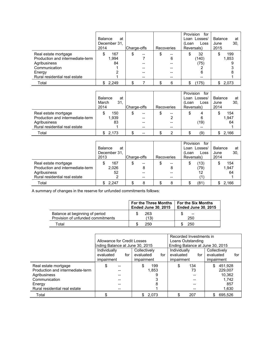|                                                                                                                                      | <b>Balance</b><br>at<br>December 31,<br>2014 | Charge-offs | Recoveries | Provision<br>for<br>Loan Losses/<br>(Loan<br>Loss<br>Reversals) | <b>Balance</b><br>at<br>30,<br>June<br>2015 |
|--------------------------------------------------------------------------------------------------------------------------------------|----------------------------------------------|-------------|------------|-----------------------------------------------------------------|---------------------------------------------|
| Real estate mortgage<br>Production and intermediate-term<br>Agribusiness<br>Communication<br>Energy<br>Rural residential real estate | 167<br>1,994<br>84                           | \$<br>--    | 6          | 32<br>\$<br>(140)<br>(75)<br>6<br>--                            | 199<br>1,853                                |
| Total                                                                                                                                | \$2,249                                      |             | 6          | (175)<br>S.                                                     | \$2,073                                     |

|                                                                                                           | <b>Balance</b><br>at<br>March<br>31,<br>2014 | Charge-offs          | Recoveries          | Provision<br>for<br>Loan Losses/<br>(Loan<br>Loss<br>Reversals) | Balance<br>at<br>30,<br>June<br>2014 |
|-----------------------------------------------------------------------------------------------------------|----------------------------------------------|----------------------|---------------------|-----------------------------------------------------------------|--------------------------------------|
| Real estate mortgage<br>Production and intermediate-term<br>Agribusiness<br>Rural residential real estate | 150<br>1,939<br>83                           | \$<br>--<br>--<br>-- | \$<br>--<br>2<br>-- | \$<br>6<br>(19)                                                 | 154<br>1.947<br>64                   |
| Total                                                                                                     | 2,173                                        | --                   | 2                   | (9)                                                             | 2,166                                |

|                                  | <b>Balance</b><br>at<br>December 31.<br>2013 | Charge-offs | Recoveries | Provision<br>for<br>Loan Losses/<br>(Loan<br>Loss<br>Reversals) | Balance<br>at<br>30.<br>June<br>2014 |
|----------------------------------|----------------------------------------------|-------------|------------|-----------------------------------------------------------------|--------------------------------------|
|                                  |                                              |             |            |                                                                 |                                      |
| Real estate mortgage             | 167                                          | S<br>--     | \$<br>--   | (13)<br>\$                                                      | 154                                  |
| Production and intermediate-term | 2,026                                        | 8           | 8          | (79)                                                            | 1,947                                |
| Agribusiness                     | 52                                           |             |            | 12                                                              | 64                                   |
| Rural residential real estate    | 2                                            | --          | --         |                                                                 |                                      |
| Total                            | 2.247                                        | 8           | 8          | (81)<br>S                                                       | 2.166<br>S.                          |

A summary of changes in the reserve for unfunded commitments follows:

|                                                                     | <b>For the Three Months</b><br><b>Ended June 30, 2015</b> | <b>For the Six Months</b><br><b>Ended June 30, 2015</b> |  |  |
|---------------------------------------------------------------------|-----------------------------------------------------------|---------------------------------------------------------|--|--|
| Balance at beginning of period<br>Provision of unfunded commitments | 263<br>(13)                                               | --<br>250                                               |  |  |
| Total                                                               | 250                                                       | 250                                                     |  |  |

|                                  | Recorded Investments in         |                  |                                 |                  |  |  |
|----------------------------------|---------------------------------|------------------|---------------------------------|------------------|--|--|
|                                  | Allowance for Credit Losses     |                  | Loans Outstanding               |                  |  |  |
|                                  | Ending Balance at June 30, 2015 |                  | Ending Balance at June 30, 2015 |                  |  |  |
|                                  | Individually                    | Collectively     | Individually                    | Collectively     |  |  |
|                                  | evaluated<br>for                | evaluated<br>for | evaluated<br>for                | evaluated<br>for |  |  |
|                                  | impairment                      | impairment       | impairment                      | impairment       |  |  |
| Real estate mortgage             |                                 | 199<br>S         | 134<br>\$                       | 451,928          |  |  |
| Production and intermediate-term |                                 | 1.853            | 73                              | 229.007          |  |  |
| Agribusiness                     |                                 |                  |                                 | 10.362           |  |  |
| Communication                    |                                 |                  |                                 | 1,742            |  |  |
| Energy                           |                                 |                  |                                 | 857              |  |  |
| Rural residential real estate    |                                 |                  |                                 | 1,630            |  |  |
| Total                            |                                 | 2.073            | 207                             | 695.526          |  |  |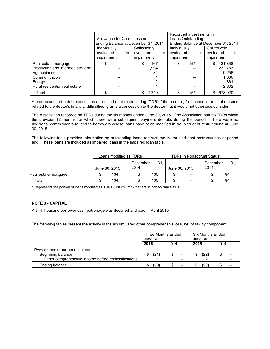|                                  |                             |                                     | Recorded Investments in             |                  |  |  |
|----------------------------------|-----------------------------|-------------------------------------|-------------------------------------|------------------|--|--|
|                                  | Allowance for Credit Losses |                                     | Loans Outstanding                   |                  |  |  |
|                                  |                             | Ending Balance at December 31, 2014 | Ending Balance at December 31, 2014 |                  |  |  |
|                                  | Individually                | Collectively                        | Individually                        | Collectively     |  |  |
|                                  | evaluated<br>for            | evaluated<br>for                    | evaluated<br>for                    | evaluated<br>for |  |  |
|                                  | impairment                  | impairment                          | impairment                          | impairment       |  |  |
| Real estate mortgage             | \$                          | 167                                 | 151<br>\$                           | 431,358          |  |  |
| Production and intermediate-term |                             | 1.994                               |                                     | 232,783          |  |  |
| Agribusiness                     |                             | 84                                  |                                     | 9,256            |  |  |
| Communication                    |                             |                                     |                                     | 1,830            |  |  |
| Energy                           |                             |                                     |                                     | 861              |  |  |
| Rural residential real estate    |                             |                                     |                                     | 2,832            |  |  |
| Total                            |                             | \$2,249                             | 151                                 | 678.920<br>\$.   |  |  |

A restructuring of a debt constitutes a troubled debt restructuring (TDR) if the creditor, for economic or legal reasons related to the debtor's financial difficulties, grants a concession to the debtor that it would not otherwise consider

The Association recorded no TDRs during the six months ended June 30, 2015. The Association had no TDRs within the previous 12 months for which there were subsequent payment defaults during the period. There were no additional commitments to lend to borrowers whose loans have been modified in troubled debt restructuring at June 30, 2015.

The following table provides information on outstanding loans restructured in troubled debt restructurings at period end. These loans are included as impaired loans in the impaired loan table.

|                      | Loans modified as TDRs |     |                  | <b>TDRs in Nonaccrual Status*</b> |               |       |                  |    |
|----------------------|------------------------|-----|------------------|-----------------------------------|---------------|-------|------------------|----|
|                      | June 30, 2015          |     | December<br>2014 | 31.                               | June 30, 2015 |       | December<br>2014 | 31 |
| Real estate mortgage |                        | 134 |                  | 135                               |               | $-$   |                  | 84 |
| Total                |                        | 134 |                  | 135                               |               | $- -$ |                  | 84 |

\* Represents the portion of loans modified as TDRs (first column) that are in nonaccrual status.

### **NOTE 3 - CAPITAL**

A \$44 thousand borrower cash patronage was declared and paid in April 2015.

The following tables present the activity in the accumulated other comprehensive loss, net of tax by component:

|                                                                                                              | <b>Three Months Ended</b><br>June 30 |      | <b>Six Months Ended</b><br>June 30 |      |
|--------------------------------------------------------------------------------------------------------------|--------------------------------------|------|------------------------------------|------|
|                                                                                                              | 2015                                 | 2014 | 2015                               | 2014 |
| Pension and other benefit plans:<br>Beginning balance<br>Other comprehensive income before reclassifications | (21)                                 |      | (22)                               |      |
| Ending balance                                                                                               | (20)                                 | --   | (20                                |      |